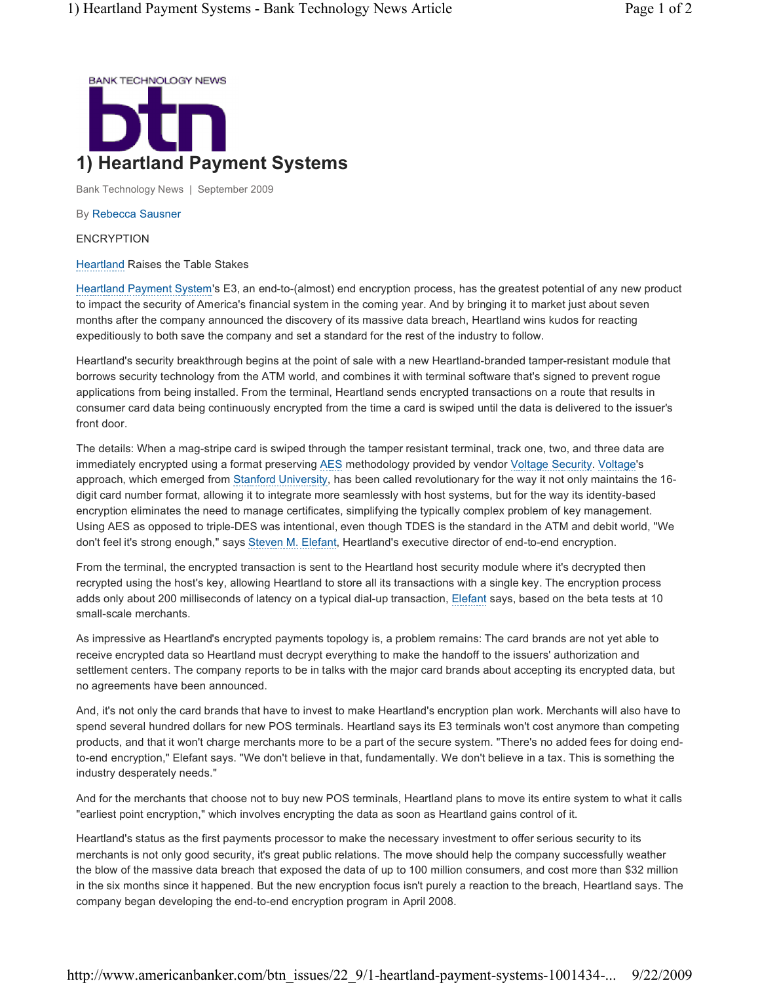

Bank Technology News | September 2009

By Rebecca Sausner

ENCRYPTION

Heartland Raises the Table Stakes

Heartland Payment System's E3, an end-to-(almost) end encryption process, has the greatest potential of any new product to impact the security of America's financial system in the coming year. And by bringing it to market just about seven months after the company announced the discovery of its massive data breach, Heartland wins kudos for reacting expeditiously to both save the company and set a standard for the rest of the industry to follow.

Heartland's security breakthrough begins at the point of sale with a new Heartland-branded tamper-resistant module that borrows security technology from the ATM world, and combines it with terminal software that's signed to prevent rogue applications from being installed. From the terminal, Heartland sends encrypted transactions on a route that results in consumer card data being continuously encrypted from the time a card is swiped until the data is delivered to the issuer's front door.

The details: When a mag-stripe card is swiped through the tamper resistant terminal, track one, two, and three data are immediately encrypted using a format preserving AES methodology provided by vendor Voltage Security. Voltage's approach, which emerged from Stanford University, has been called revolutionary for the way it not only maintains the 16 digit card number format, allowing it to integrate more seamlessly with host systems, but for the way its identity-based encryption eliminates the need to manage certificates, simplifying the typically complex problem of key management. Using AES as opposed to triple-DES was intentional, even though TDES is the standard in the ATM and debit world, "We don't feel it's strong enough," says Steven M. Elefant, Heartland's executive director of end-to-end encryption.

From the terminal, the encrypted transaction is sent to the Heartland host security module where it's decrypted then recrypted using the host's key, allowing Heartland to store all its transactions with a single key. The encryption process adds only about 200 milliseconds of latency on a typical dial-up transaction, Elefant says, based on the beta tests at 10 small-scale merchants.

As impressive as Heartland's encrypted payments topology is, a problem remains: The card brands are not yet able to receive encrypted data so Heartland must decrypt everything to make the handoff to the issuers' authorization and settlement centers. The company reports to be in talks with the major card brands about accepting its encrypted data, but no agreements have been announced.

And, it's not only the card brands that have to invest to make Heartland's encryption plan work. Merchants will also have to spend several hundred dollars for new POS terminals. Heartland says its E3 terminals won't cost anymore than competing products, and that it won't charge merchants more to be a part of the secure system. "There's no added fees for doing endto-end encryption," Elefant says. "We don't believe in that, fundamentally. We don't believe in a tax. This is something the industry desperately needs."

And for the merchants that choose not to buy new POS terminals, Heartland plans to move its entire system to what it calls "earliest point encryption," which involves encrypting the data as soon as Heartland gains control of it.

Heartland's status as the first payments processor to make the necessary investment to offer serious security to its merchants is not only good security, it's great public relations. The move should help the company successfully weather the blow of the massive data breach that exposed the data of up to 100 million consumers, and cost more than \$32 million in the six months since it happened. But the new encryption focus isn't purely a reaction to the breach, Heartland says. The company began developing the end-to-end encryption program in April 2008.